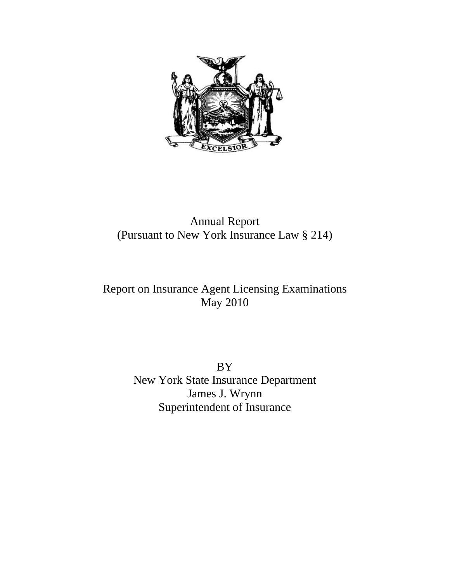

## Annual Report (Pursuant to New York Insurance Law § 214)

# Report on Insurance Agent Licensing Examinations May 2010

BY New York State Insurance Department James J. Wrynn Superintendent of Insurance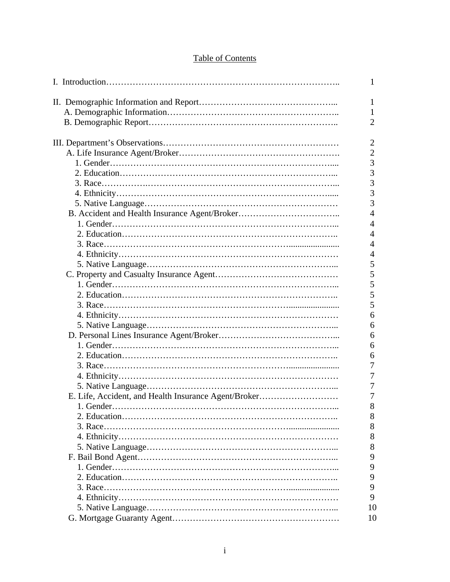## Table of Contents

|                                                      | 1              |
|------------------------------------------------------|----------------|
|                                                      | 1              |
|                                                      | 1              |
|                                                      | $\overline{2}$ |
|                                                      |                |
|                                                      | $\overline{2}$ |
|                                                      | $\overline{2}$ |
|                                                      | 3              |
|                                                      | $\overline{3}$ |
|                                                      | $\overline{3}$ |
|                                                      | 3              |
|                                                      | 3              |
|                                                      | $\overline{4}$ |
|                                                      | 4              |
|                                                      | $\overline{4}$ |
|                                                      | 4              |
|                                                      | 4              |
|                                                      | 5              |
|                                                      | 5              |
|                                                      | 5              |
|                                                      | 5              |
|                                                      | 5              |
|                                                      | 6              |
|                                                      | 6              |
|                                                      | 6              |
|                                                      | 6              |
|                                                      | 6              |
|                                                      | 7              |
|                                                      | 7              |
|                                                      | 7              |
| E. Life, Accident, and Health Insurance Agent/Broker | 7              |
|                                                      | 8              |
|                                                      | 8              |
|                                                      | 8              |
|                                                      | 8              |
|                                                      | 8              |
|                                                      | 9              |
|                                                      | 9              |
|                                                      | 9              |
|                                                      | 9              |
|                                                      | 9              |
|                                                      | 10             |
|                                                      | 10             |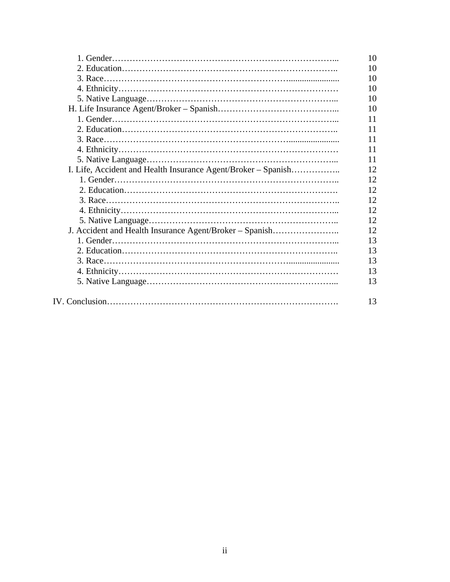|                                                               | 10 |
|---------------------------------------------------------------|----|
|                                                               | 10 |
|                                                               | 10 |
|                                                               | 10 |
|                                                               | 10 |
|                                                               | 10 |
|                                                               | 11 |
|                                                               | 11 |
|                                                               | 11 |
|                                                               | 11 |
|                                                               | 11 |
| I. Life, Accident and Health Insurance Agent/Broker – Spanish | 12 |
|                                                               | 12 |
|                                                               | 12 |
|                                                               | 12 |
|                                                               | 12 |
|                                                               | 12 |
| J. Accident and Health Insurance Agent/Broker - Spanish       | 12 |
|                                                               | 13 |
|                                                               | 13 |
|                                                               | 13 |
|                                                               | 13 |
|                                                               | 13 |
|                                                               |    |
|                                                               | 13 |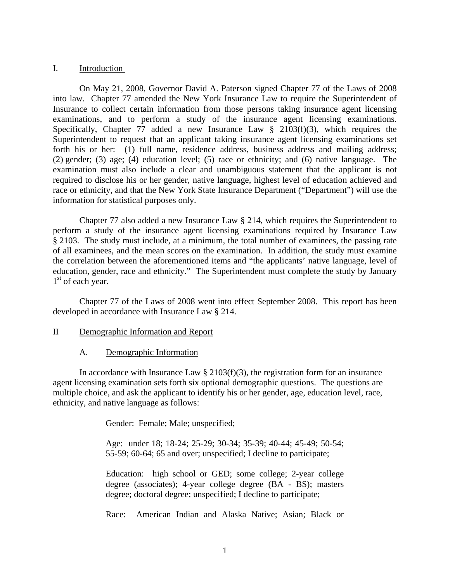#### I. Introduction

 On May 21, 2008, Governor David A. Paterson signed Chapter 77 of the Laws of 2008 into law. Chapter 77 amended the New York Insurance Law to require the Superintendent of Insurance to collect certain information from those persons taking insurance agent licensing examinations, and to perform a study of the insurance agent licensing examinations. Specifically, Chapter 77 added a new Insurance Law  $\S$  2103(f)(3), which requires the Superintendent to request that an applicant taking insurance agent licensing examinations set forth his or her: (1) full name, residence address, business address and mailing address; (2) gender; (3) age; (4) education level; (5) race or ethnicity; and (6) native language. The examination must also include a clear and unambiguous statement that the applicant is not required to disclose his or her gender, native language, highest level of education achieved and race or ethnicity, and that the New York State Insurance Department ("Department") will use the information for statistical purposes only.

 Chapter 77 also added a new Insurance Law § 214, which requires the Superintendent to perform a study of the insurance agent licensing examinations required by Insurance Law § 2103. The study must include, at a minimum, the total number of examinees, the passing rate of all examinees, and the mean scores on the examination. In addition, the study must examine the correlation between the aforementioned items and "the applicants' native language, level of education, gender, race and ethnicity." The Superintendent must complete the study by January  $1<sup>st</sup>$  of each year.

 Chapter 77 of the Laws of 2008 went into effect September 2008. This report has been developed in accordance with Insurance Law § 214.

- II Demographic Information and Report
	- A. Demographic Information

In accordance with Insurance Law  $\S 2103(f)(3)$ , the registration form for an insurance agent licensing examination sets forth six optional demographic questions. The questions are multiple choice, and ask the applicant to identify his or her gender, age, education level, race, ethnicity, and native language as follows:

Gender: Female; Male; unspecified;

Age: under 18; 18-24; 25-29; 30-34; 35-39; 40-44; 45-49; 50-54; 55-59; 60-64; 65 and over; unspecified; I decline to participate;

Education: high school or GED; some college; 2-year college degree (associates); 4-year college degree (BA - BS); masters degree; doctoral degree; unspecified; I decline to participate;

Race: American Indian and Alaska Native; Asian; Black or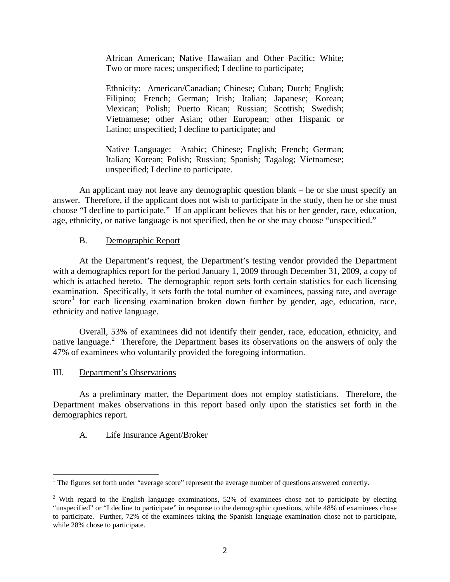African American; Native Hawaiian and Other Pacific; White; Two or more races; unspecified; I decline to participate;

Ethnicity: American/Canadian; Chinese; Cuban; Dutch; English; Filipino; French; German; Irish; Italian; Japanese; Korean; Mexican; Polish; Puerto Rican; Russian; Scottish; Swedish; Vietnamese; other Asian; other European; other Hispanic or Latino; unspecified; I decline to participate; and

Native Language: Arabic; Chinese; English; French; German; Italian; Korean; Polish; Russian; Spanish; Tagalog; Vietnamese; unspecified; I decline to participate.

An applicant may not leave any demographic question blank – he or she must specify an answer. Therefore, if the applicant does not wish to participate in the study, then he or she must choose "I decline to participate." If an applicant believes that his or her gender, race, education, age, ethnicity, or native language is not specified, then he or she may choose "unspecified."

## B. Demographic Report

 At the Department's request, the Department's testing vendor provided the Department with a demographics report for the period January 1, 2009 through December 31, 2009, a copy of which is attached hereto. The demographic report sets forth certain statistics for each licensing examination. Specifically, it sets forth the total number of examinees, passing rate, and average score<sup>[1](#page-4-0)</sup> for each licensing examination broken down further by gender, age, education, race, ethnicity and native language.

 Overall, 53% of examinees did not identify their gender, race, education, ethnicity, and native language.<sup>[2](#page-4-1)</sup> Therefore, the Department bases its observations on the answers of only the 47% of examinees who voluntarily provided the foregoing information.

#### III. Department's Observations

As a preliminary matter, the Department does not employ statisticians. Therefore, the Department makes observations in this report based only upon the statistics set forth in the demographics report.

#### A.Life Insurance Agent/Broker

<span id="page-4-0"></span><sup>&</sup>lt;sup>1</sup> The figures set forth under "average score" represent the average number of questions answered correctly.

<span id="page-4-1"></span><sup>&</sup>lt;sup>2</sup> With regard to the English language examinations, 52% of examinees chose not to participate by electing "unspecified" or "I decline to participate" in response to the demographic questions, while 48% of examinees chose to participate. Further, 72% of the examinees taking the Spanish language examination chose not to participate, while 28% chose to participate.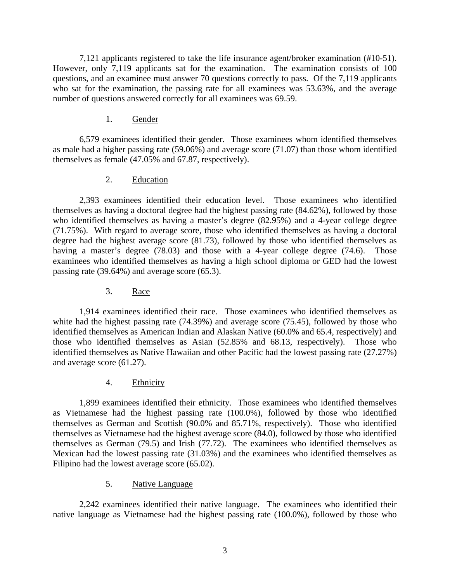7,121 applicants registered to take the life insurance agent/broker examination (#10-51). However, only 7,119 applicants sat for the examination. The examination consists of 100 questions, and an examinee must answer 70 questions correctly to pass. Of the 7,119 applicants who sat for the examination, the passing rate for all examinees was 53.63%, and the average number of questions answered correctly for all examinees was 69.59.

#### 1. Gender

 6,579 examinees identified their gender. Those examinees whom identified themselves as male had a higher passing rate (59.06%) and average score (71.07) than those whom identified themselves as female (47.05% and 67.87, respectively).

## 2. Education

 2,393 examinees identified their education level. Those examinees who identified themselves as having a doctoral degree had the highest passing rate (84.62%), followed by those who identified themselves as having a master's degree (82.95%) and a 4-year college degree (71.75%). With regard to average score, those who identified themselves as having a doctoral degree had the highest average score (81.73), followed by those who identified themselves as having a master's degree (78.03) and those with a 4-year college degree (74.6). Those examinees who identified themselves as having a high school diploma or GED had the lowest passing rate (39.64%) and average score (65.3).

3. Race

 1,914 examinees identified their race. Those examinees who identified themselves as white had the highest passing rate (74.39%) and average score (75.45), followed by those who identified themselves as American Indian and Alaskan Native (60.0% and 65.4, respectively) and those who identified themselves as Asian (52.85% and 68.13, respectively). Those who identified themselves as Native Hawaiian and other Pacific had the lowest passing rate (27.27%) and average score (61.27).

4. Ethnicity

 1,899 examinees identified their ethnicity. Those examinees who identified themselves as Vietnamese had the highest passing rate (100.0%), followed by those who identified themselves as German and Scottish (90.0% and 85.71%, respectively). Those who identified themselves as Vietnamese had the highest average score (84.0), followed by those who identified themselves as German (79.5) and Irish (77.72). The examinees who identified themselves as Mexican had the lowest passing rate (31.03%) and the examinees who identified themselves as Filipino had the lowest average score (65.02).

## 5. Native Language

 2,242 examinees identified their native language. The examinees who identified their native language as Vietnamese had the highest passing rate (100.0%), followed by those who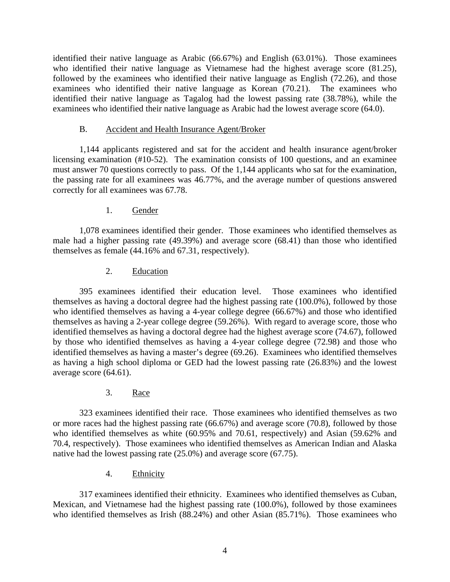identified their native language as Arabic (66.67%) and English (63.01%). Those examinees who identified their native language as Vietnamese had the highest average score (81.25), followed by the examinees who identified their native language as English (72.26), and those examinees who identified their native language as Korean (70.21). The examinees who identified their native language as Tagalog had the lowest passing rate (38.78%), while the examinees who identified their native language as Arabic had the lowest average score (64.0).

## B. Accident and Health Insurance Agent/Broker

 1,144 applicants registered and sat for the accident and health insurance agent/broker licensing examination (#10-52). The examination consists of 100 questions, and an examinee must answer 70 questions correctly to pass. Of the 1,144 applicants who sat for the examination, the passing rate for all examinees was 46.77%, and the average number of questions answered correctly for all examinees was 67.78.

## 1. Gender

 1,078 examinees identified their gender. Those examinees who identified themselves as male had a higher passing rate (49.39%) and average score (68.41) than those who identified themselves as female (44.16% and 67.31, respectively).

## 2. Education

 395 examinees identified their education level. Those examinees who identified themselves as having a doctoral degree had the highest passing rate (100.0%), followed by those who identified themselves as having a 4-year college degree (66.67%) and those who identified themselves as having a 2-year college degree (59.26%). With regard to average score, those who identified themselves as having a doctoral degree had the highest average score (74.67), followed by those who identified themselves as having a 4-year college degree (72.98) and those who identified themselves as having a master's degree (69.26). Examinees who identified themselves as having a high school diploma or GED had the lowest passing rate (26.83%) and the lowest average score (64.61).

## 3. Race

 323 examinees identified their race. Those examinees who identified themselves as two or more races had the highest passing rate (66.67%) and average score (70.8), followed by those who identified themselves as white (60.95% and 70.61, respectively) and Asian (59.62% and 70.4, respectively). Those examinees who identified themselves as American Indian and Alaska native had the lowest passing rate (25.0%) and average score (67.75).

4. Ethnicity

 317 examinees identified their ethnicity. Examinees who identified themselves as Cuban, Mexican, and Vietnamese had the highest passing rate (100.0%), followed by those examinees who identified themselves as Irish (88.24%) and other Asian (85.71%). Those examinees who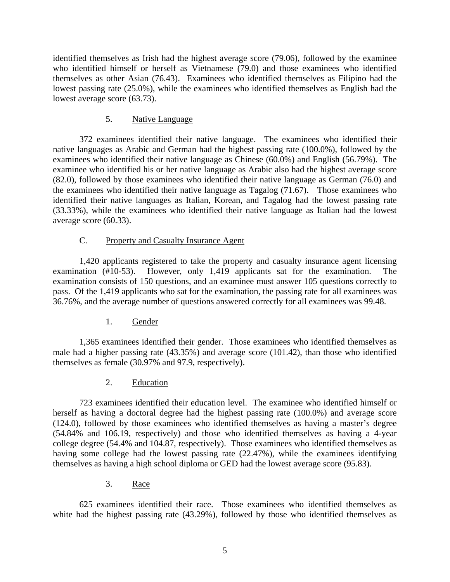identified themselves as Irish had the highest average score (79.06), followed by the examinee who identified himself or herself as Vietnamese (79.0) and those examinees who identified themselves as other Asian (76.43). Examinees who identified themselves as Filipino had the lowest passing rate (25.0%), while the examinees who identified themselves as English had the lowest average score (63.73).

## 5. Native Language

 372 examinees identified their native language. The examinees who identified their native languages as Arabic and German had the highest passing rate (100.0%), followed by the examinees who identified their native language as Chinese (60.0%) and English (56.79%). The examinee who identified his or her native language as Arabic also had the highest average score (82.0), followed by those examinees who identified their native language as German (76.0) and the examinees who identified their native language as Tagalog (71.67). Those examinees who identified their native languages as Italian, Korean, and Tagalog had the lowest passing rate (33.33%), while the examinees who identified their native language as Italian had the lowest average score (60.33).

## C. Property and Casualty Insurance Agent

 1,420 applicants registered to take the property and casualty insurance agent licensing examination (#10-53). However, only 1,419 applicants sat for the examination. The examination consists of 150 questions, and an examinee must answer 105 questions correctly to pass. Of the 1,419 applicants who sat for the examination, the passing rate for all examinees was 36.76%, and the average number of questions answered correctly for all examinees was 99.48.

1. Gender

 1,365 examinees identified their gender. Those examinees who identified themselves as male had a higher passing rate (43.35%) and average score (101.42), than those who identified themselves as female (30.97% and 97.9, respectively).

2. Education

 723 examinees identified their education level. The examinee who identified himself or herself as having a doctoral degree had the highest passing rate (100.0%) and average score (124.0), followed by those examinees who identified themselves as having a master's degree (54.84% and 106.19, respectively) and those who identified themselves as having a 4-year college degree (54.4% and 104.87, respectively). Those examinees who identified themselves as having some college had the lowest passing rate (22.47%), while the examinees identifying themselves as having a high school diploma or GED had the lowest average score (95.83).

3. Race

 625 examinees identified their race. Those examinees who identified themselves as white had the highest passing rate (43.29%), followed by those who identified themselves as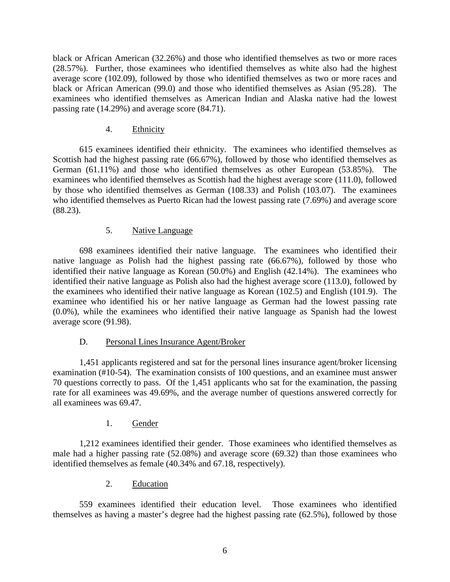black or African American (32.26%) and those who identified themselves as two or more races (28.57%). Further, those examinees who identified themselves as white also had the highest average score (102.09), followed by those who identified themselves as two or more races and black or African American (99.0) and those who identified themselves as Asian (95.28). The examinees who identified themselves as American Indian and Alaska native had the lowest passing rate (14.29%) and average score (84.71).

## 4. Ethnicity

 615 examinees identified their ethnicity. The examinees who identified themselves as Scottish had the highest passing rate (66.67%), followed by those who identified themselves as German (61.11%) and those who identified themselves as other European (53.85%). The examinees who identified themselves as Scottish had the highest average score (111.0), followed by those who identified themselves as German (108.33) and Polish (103.07). The examinees who identified themselves as Puerto Rican had the lowest passing rate (7.69%) and average score (88.23).

## 5. Native Language

698 examinees identified their native language. The examinees who identified their native language as Polish had the highest passing rate (66.67%), followed by those who identified their native language as Korean (50.0%) and English (42.14%). The examinees who identified their native language as Polish also had the highest average score (113.0), followed by the examinees who identified their native language as Korean (102.5) and English (101.9). The examinee who identified his or her native language as German had the lowest passing rate (0.0%), while the examinees who identified their native language as Spanish had the lowest average score (91.98).

## D. Personal Lines Insurance Agent/Broker

 1,451 applicants registered and sat for the personal lines insurance agent/broker licensing examination (#10-54). The examination consists of 100 questions, and an examinee must answer 70 questions correctly to pass. Of the 1,451 applicants who sat for the examination, the passing rate for all examinees was 49.69%, and the average number of questions answered correctly for all examinees was 69.47.

## 1. Gender

 1,212 examinees identified their gender. Those examinees who identified themselves as male had a higher passing rate (52.08%) and average score (69.32) than those examinees who identified themselves as female (40.34% and 67.18, respectively).

#### 2. Education

 559 examinees identified their education level. Those examinees who identified themselves as having a master's degree had the highest passing rate (62.5%), followed by those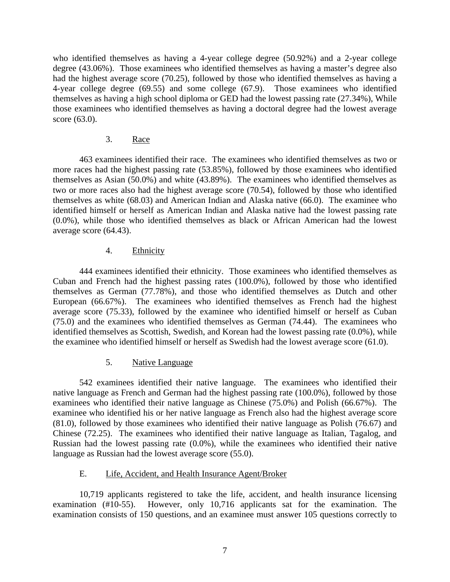who identified themselves as having a 4-year college degree (50.92%) and a 2-year college degree (43.06%). Those examinees who identified themselves as having a master's degree also had the highest average score (70.25), followed by those who identified themselves as having a 4-year college degree (69.55) and some college (67.9). Those examinees who identified themselves as having a high school diploma or GED had the lowest passing rate (27.34%), While those examinees who identified themselves as having a doctoral degree had the lowest average score (63.0).

#### 3. Race

 463 examinees identified their race. The examinees who identified themselves as two or more races had the highest passing rate (53.85%), followed by those examinees who identified themselves as Asian (50.0%) and white (43.89%). The examinees who identified themselves as two or more races also had the highest average score (70.54), followed by those who identified themselves as white (68.03) and American Indian and Alaska native (66.0). The examinee who identified himself or herself as American Indian and Alaska native had the lowest passing rate (0.0%), while those who identified themselves as black or African American had the lowest average score (64.43).

#### 4. Ethnicity

 444 examinees identified their ethnicity. Those examinees who identified themselves as Cuban and French had the highest passing rates (100.0%), followed by those who identified themselves as German (77.78%), and those who identified themselves as Dutch and other European (66.67%). The examinees who identified themselves as French had the highest average score (75.33), followed by the examinee who identified himself or herself as Cuban (75.0) and the examinees who identified themselves as German (74.44). The examinees who identified themselves as Scottish, Swedish, and Korean had the lowest passing rate (0.0%), while the examinee who identified himself or herself as Swedish had the lowest average score (61.0).

#### 5. Native Language

 542 examinees identified their native language. The examinees who identified their native language as French and German had the highest passing rate (100.0%), followed by those examinees who identified their native language as Chinese (75.0%) and Polish (66.67%). The examinee who identified his or her native language as French also had the highest average score (81.0), followed by those examinees who identified their native language as Polish (76.67) and Chinese (72.25). The examinees who identified their native language as Italian, Tagalog, and Russian had the lowest passing rate (0.0%), while the examinees who identified their native language as Russian had the lowest average score (55.0).

#### E. Life, Accident, and Health Insurance Agent/Broker

 10,719 applicants registered to take the life, accident, and health insurance licensing examination (#10-55). However, only 10,716 applicants sat for the examination. The examination consists of 150 questions, and an examinee must answer 105 questions correctly to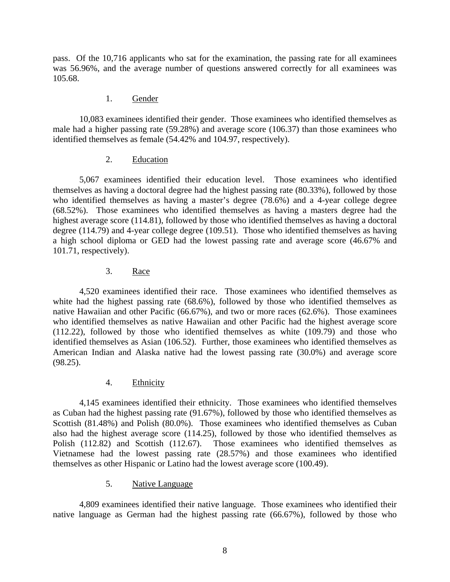pass. Of the 10,716 applicants who sat for the examination, the passing rate for all examinees was 56.96%, and the average number of questions answered correctly for all examinees was 105.68.

#### 1. Gender

 10,083 examinees identified their gender. Those examinees who identified themselves as male had a higher passing rate (59.28%) and average score (106.37) than those examinees who identified themselves as female (54.42% and 104.97, respectively).

#### 2. Education

 5,067 examinees identified their education level. Those examinees who identified themselves as having a doctoral degree had the highest passing rate (80.33%), followed by those who identified themselves as having a master's degree (78.6%) and a 4-year college degree (68.52%). Those examinees who identified themselves as having a masters degree had the highest average score (114.81), followed by those who identified themselves as having a doctoral degree (114.79) and 4-year college degree (109.51). Those who identified themselves as having a high school diploma or GED had the lowest passing rate and average score (46.67% and 101.71, respectively).

## 3. Race

 4,520 examinees identified their race. Those examinees who identified themselves as white had the highest passing rate (68.6%), followed by those who identified themselves as native Hawaiian and other Pacific (66.67%), and two or more races (62.6%). Those examinees who identified themselves as native Hawaiian and other Pacific had the highest average score (112.22), followed by those who identified themselves as white (109.79) and those who identified themselves as Asian (106.52). Further, those examinees who identified themselves as American Indian and Alaska native had the lowest passing rate (30.0%) and average score (98.25).

#### 4. Ethnicity

 4,145 examinees identified their ethnicity. Those examinees who identified themselves as Cuban had the highest passing rate (91.67%), followed by those who identified themselves as Scottish (81.48%) and Polish (80.0%). Those examinees who identified themselves as Cuban also had the highest average score (114.25), followed by those who identified themselves as Polish (112.82) and Scottish (112.67). Those examinees who identified themselves as Vietnamese had the lowest passing rate (28.57%) and those examinees who identified themselves as other Hispanic or Latino had the lowest average score (100.49).

#### 5. Native Language

4,809 examinees identified their native language. Those examinees who identified their native language as German had the highest passing rate (66.67%), followed by those who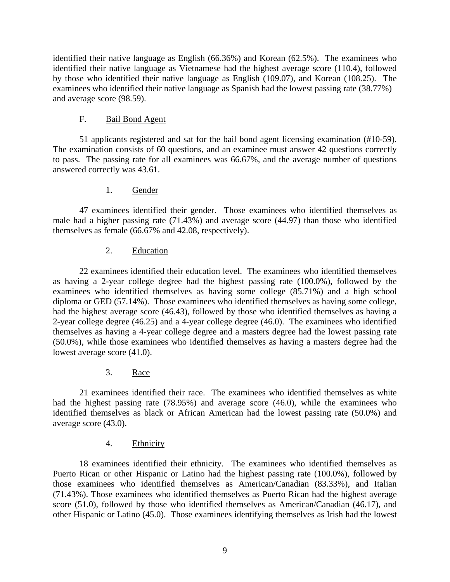identified their native language as English (66.36%) and Korean (62.5%). The examinees who identified their native language as Vietnamese had the highest average score (110.4), followed by those who identified their native language as English (109.07), and Korean (108.25). The examinees who identified their native language as Spanish had the lowest passing rate (38.77%) and average score (98.59).

#### F. Bail Bond Agent

 51 applicants registered and sat for the bail bond agent licensing examination (#10-59). The examination consists of 60 questions, and an examinee must answer 42 questions correctly to pass. The passing rate for all examinees was 66.67%, and the average number of questions answered correctly was 43.61.

#### 1. Gender

 47 examinees identified their gender. Those examinees who identified themselves as male had a higher passing rate (71.43%) and average score (44.97) than those who identified themselves as female (66.67% and 42.08, respectively).

## 2. Education

 22 examinees identified their education level. The examinees who identified themselves as having a 2-year college degree had the highest passing rate (100.0%), followed by the examinees who identified themselves as having some college (85.71%) and a high school diploma or GED (57.14%). Those examinees who identified themselves as having some college, had the highest average score (46.43), followed by those who identified themselves as having a 2-year college degree (46.25) and a 4-year college degree (46.0). The examinees who identified themselves as having a 4-year college degree and a masters degree had the lowest passing rate (50.0%), while those examinees who identified themselves as having a masters degree had the lowest average score (41.0).

#### 3. Race

 21 examinees identified their race. The examinees who identified themselves as white had the highest passing rate (78.95%) and average score (46.0), while the examinees who identified themselves as black or African American had the lowest passing rate (50.0%) and average score (43.0).

## 4. Ethnicity

 18 examinees identified their ethnicity. The examinees who identified themselves as Puerto Rican or other Hispanic or Latino had the highest passing rate (100.0%), followed by those examinees who identified themselves as American/Canadian (83.33%), and Italian (71.43%). Those examinees who identified themselves as Puerto Rican had the highest average score (51.0), followed by those who identified themselves as American/Canadian (46.17), and other Hispanic or Latino (45.0). Those examinees identifying themselves as Irish had the lowest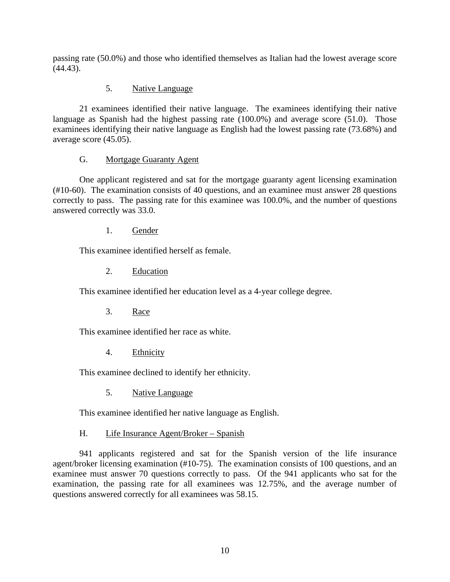passing rate (50.0%) and those who identified themselves as Italian had the lowest average score (44.43).

## 5. Native Language

 21 examinees identified their native language. The examinees identifying their native language as Spanish had the highest passing rate (100.0%) and average score (51.0). Those examinees identifying their native language as English had the lowest passing rate (73.68%) and average score (45.05).

## G. Mortgage Guaranty Agent

 One applicant registered and sat for the mortgage guaranty agent licensing examination (#10-60). The examination consists of 40 questions, and an examinee must answer 28 questions correctly to pass. The passing rate for this examinee was 100.0%, and the number of questions answered correctly was 33.0.

1. Gender

This examinee identified herself as female.

2. Education

This examinee identified her education level as a 4-year college degree.

3. Race

This examinee identified her race as white.

4. Ethnicity

This examinee declined to identify her ethnicity.

5. Native Language

This examinee identified her native language as English.

H. Life Insurance Agent/Broker – Spanish

 941 applicants registered and sat for the Spanish version of the life insurance agent/broker licensing examination (#10-75). The examination consists of 100 questions, and an examinee must answer 70 questions correctly to pass. Of the 941 applicants who sat for the examination, the passing rate for all examinees was 12.75%, and the average number of questions answered correctly for all examinees was 58.15.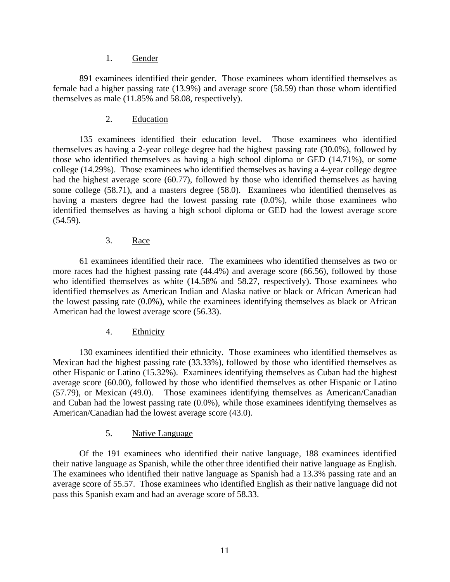#### 1. Gender

 891 examinees identified their gender. Those examinees whom identified themselves as female had a higher passing rate (13.9%) and average score (58.59) than those whom identified themselves as male (11.85% and 58.08, respectively).

2. Education

 135 examinees identified their education level. Those examinees who identified themselves as having a 2-year college degree had the highest passing rate (30.0%), followed by those who identified themselves as having a high school diploma or GED (14.71%), or some college (14.29%). Those examinees who identified themselves as having a 4-year college degree had the highest average score (60.77), followed by those who identified themselves as having some college (58.71), and a masters degree (58.0). Examinees who identified themselves as having a masters degree had the lowest passing rate (0.0%), while those examinees who identified themselves as having a high school diploma or GED had the lowest average score (54.59).

#### 3. Race

 61 examinees identified their race. The examinees who identified themselves as two or more races had the highest passing rate (44.4%) and average score (66.56), followed by those who identified themselves as white (14.58% and 58.27, respectively). Those examinees who identified themselves as American Indian and Alaska native or black or African American had the lowest passing rate (0.0%), while the examinees identifying themselves as black or African American had the lowest average score (56.33).

#### 4. Ethnicity

 130 examinees identified their ethnicity. Those examinees who identified themselves as Mexican had the highest passing rate (33.33%), followed by those who identified themselves as other Hispanic or Latino (15.32%). Examinees identifying themselves as Cuban had the highest average score (60.00), followed by those who identified themselves as other Hispanic or Latino (57.79), or Mexican (49.0). Those examinees identifying themselves as American/Canadian and Cuban had the lowest passing rate (0.0%), while those examinees identifying themselves as American/Canadian had the lowest average score (43.0).

## 5. Native Language

Of the 191 examinees who identified their native language, 188 examinees identified their native language as Spanish, while the other three identified their native language as English. The examinees who identified their native language as Spanish had a 13.3% passing rate and an average score of 55.57. Those examinees who identified English as their native language did not pass this Spanish exam and had an average score of 58.33.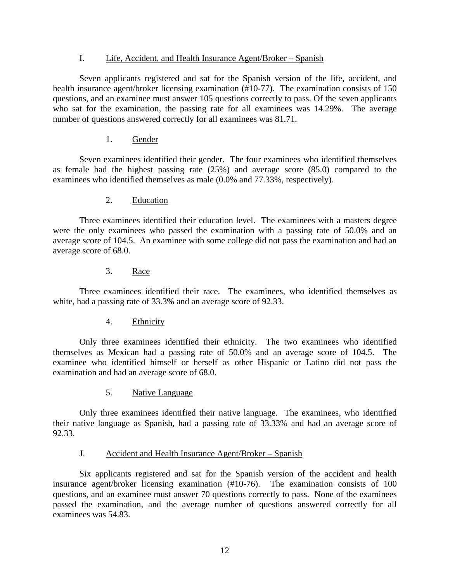#### I. Life, Accident, and Health Insurance Agent/Broker – Spanish

 Seven applicants registered and sat for the Spanish version of the life, accident, and health insurance agent/broker licensing examination (#10-77). The examination consists of 150 questions, and an examinee must answer 105 questions correctly to pass. Of the seven applicants who sat for the examination, the passing rate for all examinees was 14.29%. The average number of questions answered correctly for all examinees was 81.71.

## 1. Gender

 Seven examinees identified their gender. The four examinees who identified themselves as female had the highest passing rate (25%) and average score (85.0) compared to the examinees who identified themselves as male (0.0% and 77.33%, respectively).

## 2. Education

 Three examinees identified their education level. The examinees with a masters degree were the only examinees who passed the examination with a passing rate of 50.0% and an average score of 104.5. An examinee with some college did not pass the examination and had an average score of 68.0.

## 3. Race

 Three examinees identified their race. The examinees, who identified themselves as white, had a passing rate of 33.3% and an average score of 92.33.

#### 4. Ethnicity

 Only three examinees identified their ethnicity. The two examinees who identified themselves as Mexican had a passing rate of 50.0% and an average score of 104.5. The examinee who identified himself or herself as other Hispanic or Latino did not pass the examination and had an average score of 68.0.

5. Native Language

Only three examinees identified their native language. The examinees, who identified their native language as Spanish, had a passing rate of 33.33% and had an average score of 92.33.

#### J. Accident and Health Insurance Agent/Broker – Spanish

 Six applicants registered and sat for the Spanish version of the accident and health insurance agent/broker licensing examination (#10-76). The examination consists of 100 questions, and an examinee must answer 70 questions correctly to pass. None of the examinees passed the examination, and the average number of questions answered correctly for all examinees was 54.83.